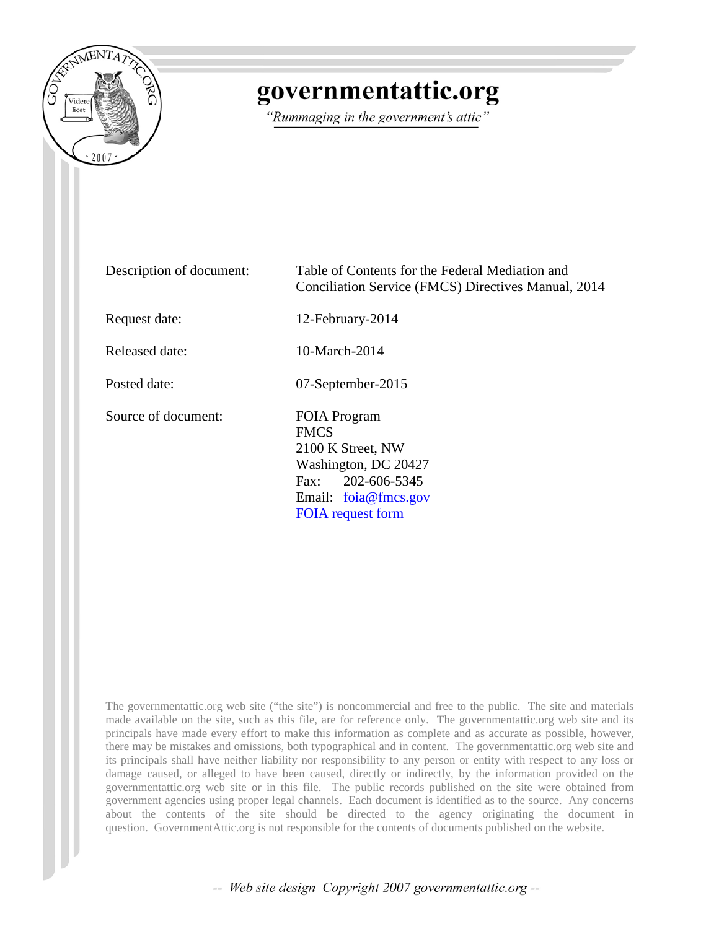

## governmentattic.org

"Rummaging in the government's attic"

| Description of document: | Table of Contents for the Federal Mediation and<br>Conciliation Service (FMCS) Directives Manual, 2014                                                         |
|--------------------------|----------------------------------------------------------------------------------------------------------------------------------------------------------------|
| Request date:            | 12-February-2014                                                                                                                                               |
| Released date:           | $10$ -March-2014                                                                                                                                               |
| Posted date:             | 07-September-2015                                                                                                                                              |
| Source of document:      | <b>FOIA Program</b><br><b>FMCS</b><br>2100 K Street, NW<br>Washington, DC 20427<br>Fax: $202 - 606 - 5345$<br>Email: foia@fmcs.gov<br><b>FOIA</b> request form |

The governmentattic.org web site ("the site") is noncommercial and free to the public. The site and materials made available on the site, such as this file, are for reference only. The governmentattic.org web site and its principals have made every effort to make this information as complete and as accurate as possible, however, there may be mistakes and omissions, both typographical and in content. The governmentattic.org web site and its principals shall have neither liability nor responsibility to any person or entity with respect to any loss or damage caused, or alleged to have been caused, directly or indirectly, by the information provided on the governmentattic.org web site or in this file. The public records published on the site were obtained from government agencies using proper legal channels. Each document is identified as to the source. Any concerns about the contents of the site should be directed to the agency originating the document in question. GovernmentAttic.org is not responsible for the contents of documents published on the website.

-- Web site design Copyright 2007 governmentattic.org --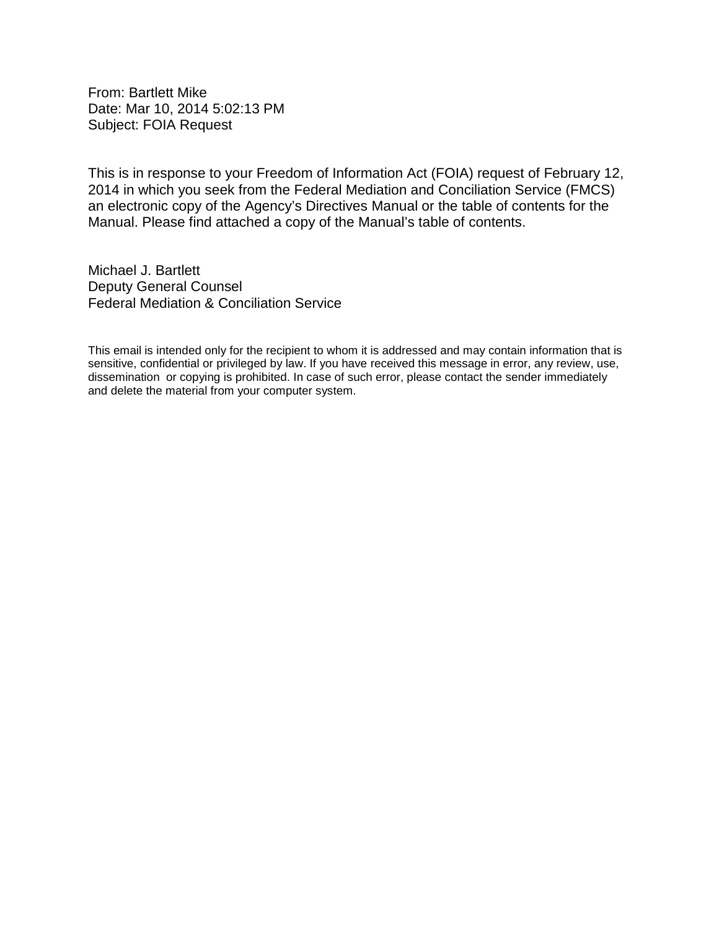From: Bartlett Mike Date: Mar 10, 2014 5:02:13 PM Subject: FOIA Request

This is in response to your Freedom of Information Act (FOIA) request of February 12, 2014 in which you seek from the Federal Mediation and Conciliation Service (FMCS) an electronic copy of the Agency's Directives Manual or the table of contents for the Manual. Please find attached a copy of the Manual's table of contents.

Michael J. Bartlett Deputy General Counsel Federal Mediation & Conciliation Service

This email is intended only for the recipient to whom it is addressed and may contain information that is sensitive, confidential or privileged by law. If you have received this message in error, any review, use, dissemination or copying is prohibited. In case of such error, please contact the sender immediately and delete the material from your computer system.